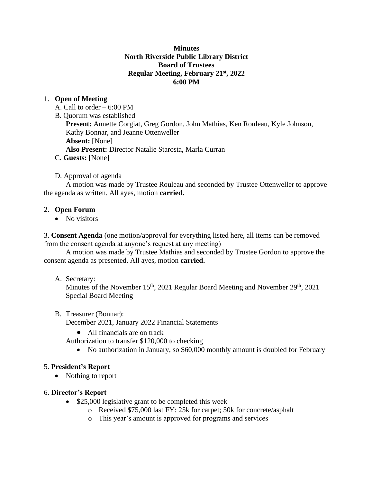## **Minutes North Riverside Public Library District Board of Trustees Regular Meeting, February 21st, 2022 6:00 PM**

# 1. **Open of Meeting**

A. Call to order – 6:00 PM

B. Quorum was established

**Present:** Annette Corgiat, Greg Gordon, John Mathias, Ken Rouleau, Kyle Johnson, Kathy Bonnar, and Jeanne Ottenweller **Absent:** [None] **Also Present:** Director Natalie Starosta, Marla Curran

C. **Guests:** [None]

## D. Approval of agenda

A motion was made by Trustee Rouleau and seconded by Trustee Ottenweller to approve the agenda as written. All ayes, motion **carried.** 

#### 2. **Open Forum**

• No visitors

3. **Consent Agenda** (one motion/approval for everything listed here, all items can be removed from the consent agenda at anyone's request at any meeting)

A motion was made by Trustee Mathias and seconded by Trustee Gordon to approve the consent agenda as presented. All ayes, motion **carried.**

#### A. Secretary:

Minutes of the November  $15<sup>th</sup>$ , 2021 Regular Board Meeting and November  $29<sup>th</sup>$ , 2021 Special Board Meeting

## B. Treasurer (Bonnar):

December 2021, January 2022 Financial Statements

• All financials are on track

Authorization to transfer \$120,000 to checking

• No authorization in January, so \$60,000 monthly amount is doubled for February

## 5. **President's Report**

• Nothing to report

## 6. **Director's Report**

- \$25,000 legislative grant to be completed this week
	- o Received \$75,000 last FY: 25k for carpet; 50k for concrete/asphalt
	- o This year's amount is approved for programs and services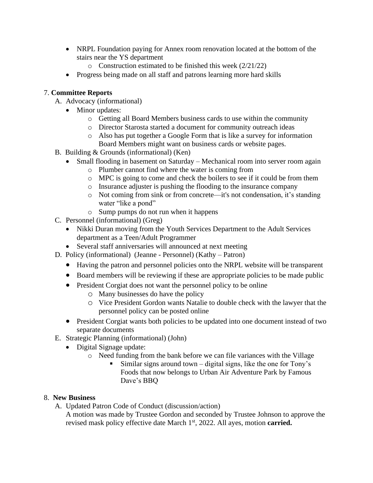- NRPL Foundation paying for Annex room renovation located at the bottom of the stairs near the YS department
	- $\circ$  Construction estimated to be finished this week (2/21/22)
- Progress being made on all staff and patrons learning more hard skills

# 7. **Committee Reports**

- A. Advocacy (informational)
	- Minor updates:
		- o Getting all Board Members business cards to use within the community
		- o Director Starosta started a document for community outreach ideas
		- o Also has put together a Google Form that is like a survey for information Board Members might want on business cards or website pages.
- B. Building & Grounds (informational) (Ken)
	- Small flooding in basement on Saturday Mechanical room into server room again
		- o Plumber cannot find where the water is coming from
		- o MPC is going to come and check the boilers to see if it could be from them
		- o Insurance adjuster is pushing the flooding to the insurance company
		- o Not coming from sink or from concrete—it's not condensation, it's standing water "like a pond"
		- o Sump pumps do not run when it happens
- C. Personnel (informational) (Greg)
	- Nikki Duran moving from the Youth Services Department to the Adult Services department as a Teen/Adult Programmer
	- Several staff anniversaries will announced at next meeting
- D. Policy (informational) (Jeanne Personnel) (Kathy Patron)
	- Having the patron and personnel policies onto the NRPL website will be transparent
	- Board members will be reviewing if these are appropriate policies to be made public
	- President Corgiat does not want the personnel policy to be online
		- o Many businesses do have the policy
		- o Vice President Gordon wants Natalie to double check with the lawyer that the personnel policy can be posted online
	- President Corgiat wants both policies to be updated into one document instead of two separate documents
- E. Strategic Planning (informational) (John)
	- Digital Signage update:
		- o Need funding from the bank before we can file variances with the Village
			- Similar signs around town digital signs, like the one for Tony's Foods that now belongs to Urban Air Adventure Park by Famous Dave's BBQ

## 8. **New Business**

A. Updated Patron Code of Conduct (discussion/action)

A motion was made by Trustee Gordon and seconded by Trustee Johnson to approve the revised mask policy effective date March 1<sup>st</sup>, 2022. All ayes, motion **carried.**